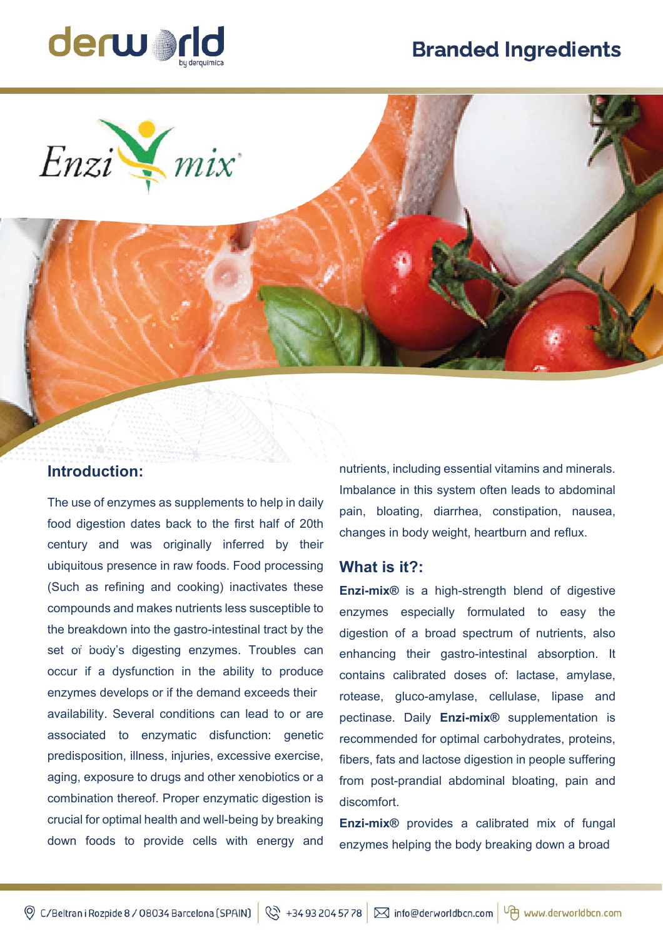# **Branded Ingredients**



Enzi V mix

## **Introduction:**

The use of enzymes as supplements to help in daily food digestion dates back to the first half of 20th century and was originally inferred by their ubiquitous presence in raw foods. Food processing (Such as refining and cooking) inactivates these compounds and makes nutrients less susceptible to the breakdown into the gastro-intestinal tract by the set of body's digesting enzymes. Troubles can occur if a dysfunction in the ability to produce enzymes develops or if the demand exceeds their availability. Several conditions can lead to or are associated to enzymatic disfunction: genetic predisposition, illness, injuries, excessive exercise, aging, exposure to drugs and other xenobiotics or a combination thereof. Proper enzymatic digestion is crucial for optimal health and well-being by breaking down foods to provide cells with energy and

nutrients, including essential vitamins and minerals. Imbalance in this system often leads to abdominal pain, bloating, diarrhea, constipation, nausea, changes in body weight, heartburn and reflux.

#### **What is it?:**

**Enzi-mix®** is a high-strength blend of digestive enzymes especially formulated to easy the digestion of a broad spectrum of nutrients, also enhancing their gastro-intestinal absorption. It contains calibrated doses of: lactase, amylase, rotease, gluco-amylase, cellulase, lipase and pectinase. Daily **Enzi-mix®** supplementation is recommended for optimal carbohydrates, proteins, fibers, fats and lactose digestion in people suffering from post-prandial abdominal bloating, pain and discomfort.

**Enzi-mix®** provides a calibrated mix of fungal enzymes helping the body breaking down a broad